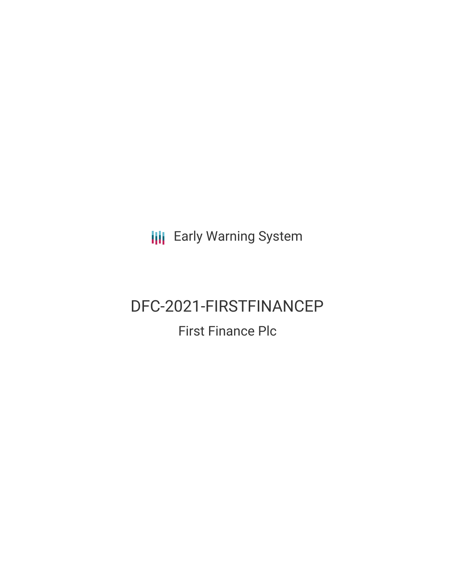**III** Early Warning System

# DFC-2021-FIRSTFINANCEP First Finance Plc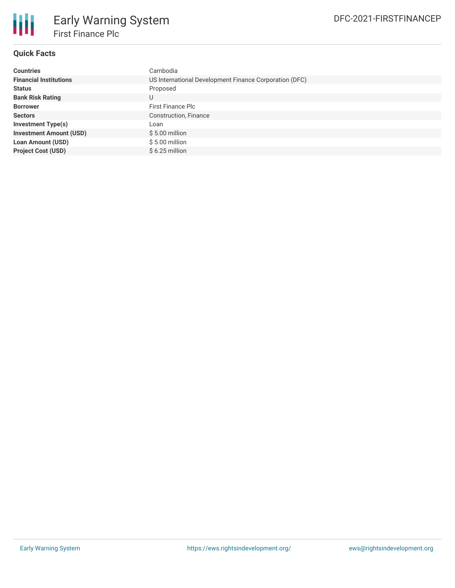

# **Quick Facts**

| <b>Countries</b>               | Cambodia                                               |  |  |  |  |
|--------------------------------|--------------------------------------------------------|--|--|--|--|
| <b>Financial Institutions</b>  | US International Development Finance Corporation (DFC) |  |  |  |  |
| <b>Status</b>                  | Proposed                                               |  |  |  |  |
| <b>Bank Risk Rating</b>        | U                                                      |  |  |  |  |
| <b>Borrower</b>                | <b>First Finance Plc</b>                               |  |  |  |  |
| <b>Sectors</b>                 | Construction, Finance                                  |  |  |  |  |
| <b>Investment Type(s)</b>      | Loan                                                   |  |  |  |  |
| <b>Investment Amount (USD)</b> | $$5.00$ million                                        |  |  |  |  |
| <b>Loan Amount (USD)</b>       | \$5.00 million                                         |  |  |  |  |
| <b>Project Cost (USD)</b>      | $$6.25$ million                                        |  |  |  |  |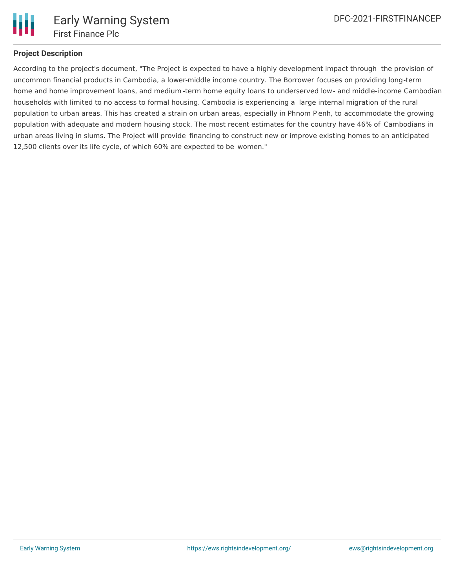

## **Project Description**

According to the project's document, "The Project is expected to have a highly development impact through the provision of uncommon financial products in Cambodia, a lower-middle income country. The Borrower focuses on providing long-term home and home improvement loans, and medium -term home equity loans to underserved low- and middle-income Cambodian households with limited to no access to formal housing. Cambodia is experiencing a large internal migration of the rural population to urban areas. This has created a strain on urban areas, especially in Phnom P enh, to accommodate the growing population with adequate and modern housing stock. The most recent estimates for the country have 46% of Cambodians in urban areas living in slums. The Project will provide financing to construct new or improve existing homes to an anticipated 12,500 clients over its life cycle, of which 60% are expected to be women."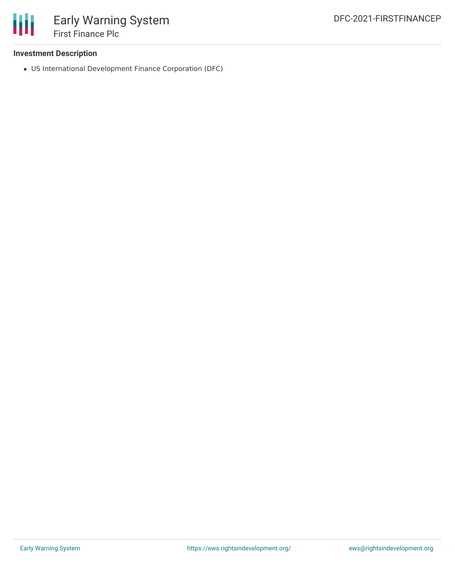

## **Investment Description**

US International Development Finance Corporation (DFC)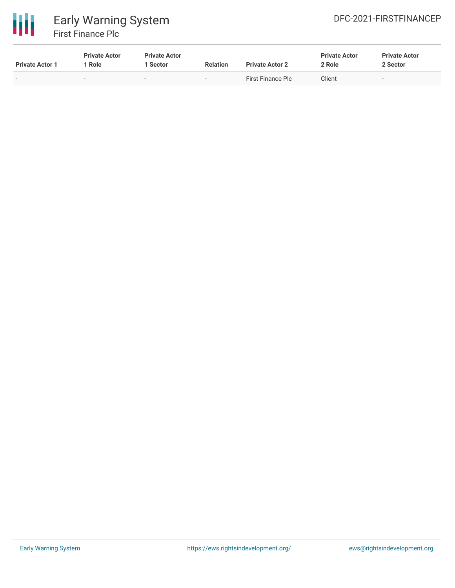

| <b>Private Actor 1</b> | <b>Private Actor</b><br>Role | <b>Private Actor</b><br>l Sector | <b>Relation</b>          | <b>Private Actor 2</b> | <b>Private Actor</b><br>2 Role | <b>Private Actor</b><br>2 Sector |
|------------------------|------------------------------|----------------------------------|--------------------------|------------------------|--------------------------------|----------------------------------|
| $\sim$                 | $\overline{\phantom{a}}$     | $\overline{\phantom{0}}$         | $\overline{\phantom{a}}$ | First Finance Plc      | Client                         | . .                              |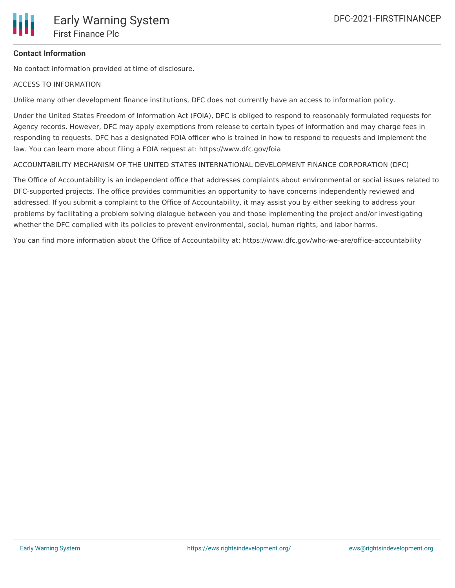

#### **Contact Information**

No contact information provided at time of disclosure.

#### ACCESS TO INFORMATION

Unlike many other development finance institutions, DFC does not currently have an access to information policy.

Under the United States Freedom of Information Act (FOIA), DFC is obliged to respond to reasonably formulated requests for Agency records. However, DFC may apply exemptions from release to certain types of information and may charge fees in responding to requests. DFC has a designated FOIA officer who is trained in how to respond to requests and implement the law. You can learn more about filing a FOIA request at: https://www.dfc.gov/foia

ACCOUNTABILITY MECHANISM OF THE UNITED STATES INTERNATIONAL DEVELOPMENT FINANCE CORPORATION (DFC)

The Office of Accountability is an independent office that addresses complaints about environmental or social issues related to DFC-supported projects. The office provides communities an opportunity to have concerns independently reviewed and addressed. If you submit a complaint to the Office of Accountability, it may assist you by either seeking to address your problems by facilitating a problem solving dialogue between you and those implementing the project and/or investigating whether the DFC complied with its policies to prevent environmental, social, human rights, and labor harms.

You can find more information about the Office of Accountability at: https://www.dfc.gov/who-we-are/office-accountability